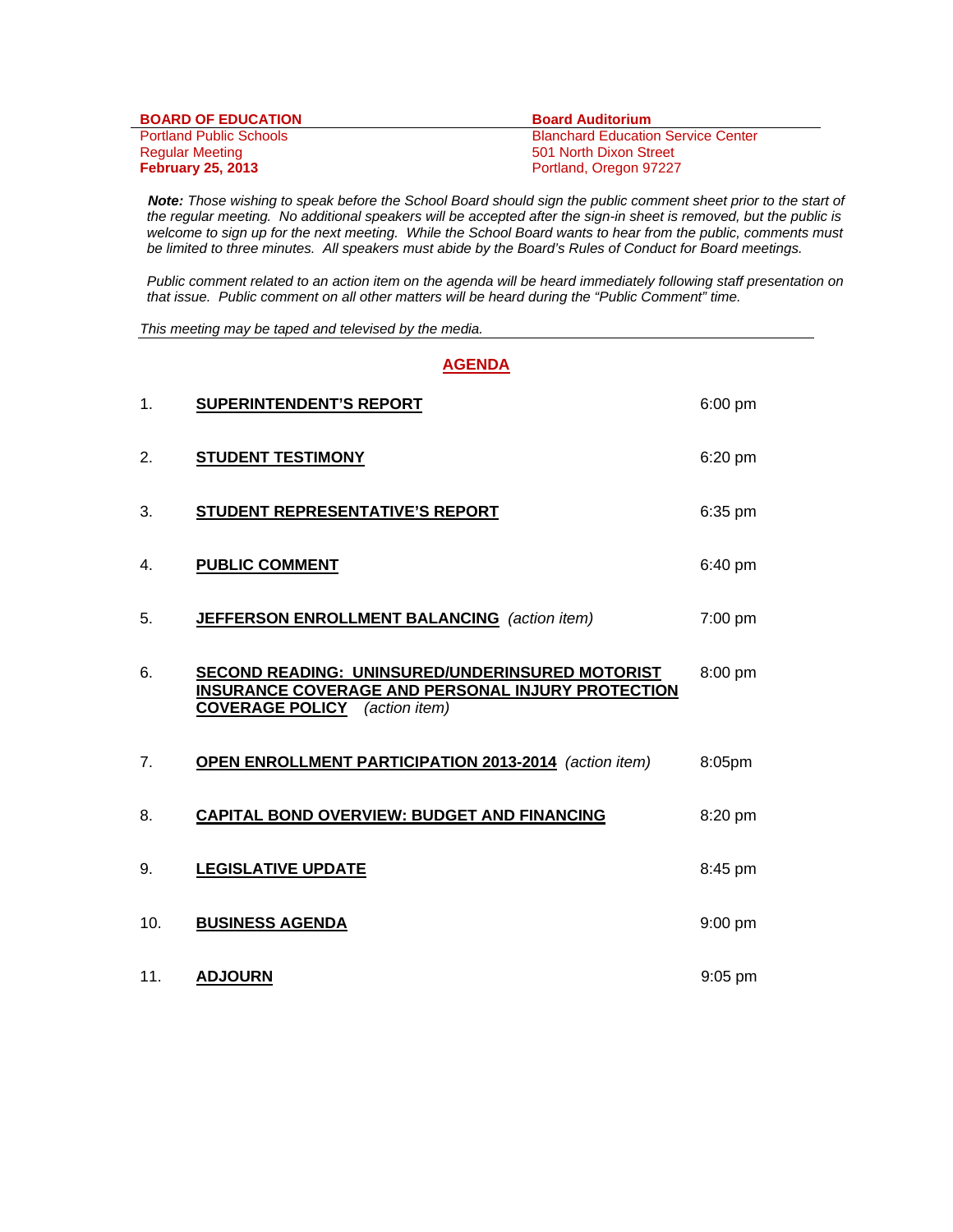| <b>BOARD OF EDUCATION</b>      | <b>Board Auditorium</b>                   |
|--------------------------------|-------------------------------------------|
| <b>Portland Public Schools</b> | <b>Blanchard Education Service Center</b> |
| Regular Meeting                | 501 North Dixon Street                    |
| <b>February 25, 2013</b>       | Portland, Oregon 97227                    |

 *Note: Those wishing to speak before the School Board should sign the public comment sheet prior to the start of the regular meeting. No additional speakers will be accepted after the sign-in sheet is removed, but the public is*  welcome to sign up for the next meeting. While the School Board wants to hear from the public, comments must *be limited to three minutes. All speakers must abide by the Board's Rules of Conduct for Board meetings.* 

 *Public comment related to an action item on the agenda will be heard immediately following staff presentation on that issue. Public comment on all other matters will be heard during the "Public Comment" time.* 

*This meeting may be taped and televised by the media.* 

**AGENDA**  1. **SUPERINTENDENT'S REPORT** 6:00 pm 2. **STUDENT TESTIMONY** 6:20 pm 3. **STUDENT REPRESENTATIVE'S REPORT** 6:35 pm 4. **PUBLIC COMMENT** 6:40 pm 5. **JEFFERSON ENROLLMENT BALANCING** *(action item)* 7:00 pm 6. **SECOND READING: UNINSURED/UNDERINSURED MOTORIST** 8:00 pm **INSURANCE COVERAGE AND PERSONAL INJURY PROTECTION COVERAGE POLICY** *(action item)*  7. **OPEN ENROLLMENT PARTICIPATION 2013-2014** *(action item)* 8:05pm 8. **CAPITAL BOND OVERVIEW: BUDGET AND FINANCING** 8:20 pm 9. **LEGISLATIVE UPDATE 19. In the set of the Second LEGISLATIVE UPDATE** 10. **BUSINESS AGENDA** 9:00 pm 11. **ADJOURN** 9:05 pm